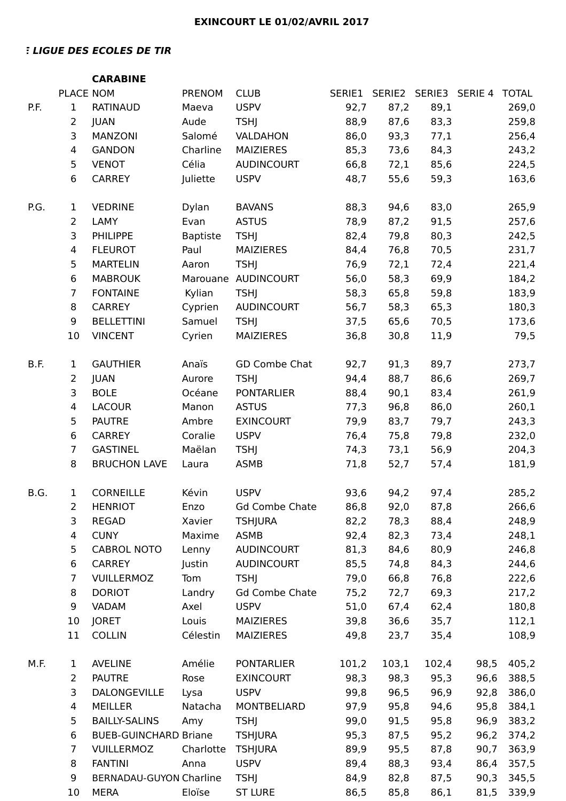## **ELIGUE DES ECOLES DE TIR**

|      |                | <b>CARABINE</b>                |                   |                               |              |              |                       |      |                |
|------|----------------|--------------------------------|-------------------|-------------------------------|--------------|--------------|-----------------------|------|----------------|
|      | PLACE NOM      |                                | <b>PRENOM</b>     | <b>CLUB</b>                   | SERIE1       |              | SERIE2 SERIE3 SERIE 4 |      | <b>TOTAL</b>   |
| P.F. | 1              | <b>RATINAUD</b>                | Maeva             | <b>USPV</b>                   | 92,7         | 87,2         | 89,1                  |      | 269,0          |
|      | $\overline{2}$ | <b>JUAN</b>                    | Aude              | <b>TSHJ</b>                   | 88,9         | 87,6         | 83,3                  |      | 259,8          |
|      | 3              | MANZONI                        | Salomé            | VALDAHON                      | 86,0         | 93,3         | 77,1                  |      | 256,4          |
|      | 4              | <b>GANDON</b>                  | Charline          | <b>MAIZIERES</b>              | 85,3         | 73,6         | 84,3                  |      | 243,2          |
|      | 5              | <b>VENOT</b>                   | Célia             | <b>AUDINCOURT</b>             | 66,8         | 72,1         | 85,6                  |      | 224,5          |
|      | 6              | <b>CARREY</b>                  | Juliette          | <b>USPV</b>                   | 48,7         | 55,6         | 59,3                  |      | 163,6          |
| P.G. | 1              | <b>VEDRINE</b>                 | Dylan             | <b>BAVANS</b>                 | 88,3         | 94,6         | 83,0                  |      | 265,9          |
|      | $\overline{2}$ | LAMY                           | Evan              | <b>ASTUS</b>                  | 78,9         | 87,2         | 91,5                  |      | 257,6          |
|      | 3              | <b>PHILIPPE</b>                | <b>Baptiste</b>   | <b>TSHJ</b>                   | 82,4         | 79,8         | 80,3                  |      | 242,5          |
|      | 4              | <b>FLEUROT</b>                 | Paul              | <b>MAIZIERES</b>              | 84,4         | 76,8         | 70,5                  |      | 231,7          |
|      | 5              | <b>MARTELIN</b>                | Aaron             | <b>TSHJ</b>                   | 76,9         | 72,1         | 72,4                  |      | 221,4          |
|      | 6              | <b>MABROUK</b>                 | Marouane          | <b>AUDINCOURT</b>             | 56,0         | 58,3         | 69,9                  |      | 184,2          |
|      | 7              | <b>FONTAINE</b>                | Kylian            | <b>TSHJ</b>                   | 58,3         | 65,8         | 59,8                  |      | 183,9          |
|      | 8              | <b>CARREY</b>                  | Cyprien           | <b>AUDINCOURT</b>             | 56,7         | 58,3         | 65,3                  |      | 180,3          |
|      | 9              | <b>BELLETTINI</b>              | Samuel            | <b>TSHJ</b>                   | 37,5         | 65,6         | 70,5                  |      | 173,6          |
|      | 10             | <b>VINCENT</b>                 | Cyrien            | <b>MAIZIERES</b>              | 36,8         | 30,8         | 11,9                  |      | 79,5           |
| B.F. | 1              | <b>GAUTHIER</b>                | Anaïs             | GD Combe Chat                 | 92,7         | 91,3         | 89,7                  |      | 273,7          |
|      | $\overline{2}$ | <b>JUAN</b>                    | Aurore            | <b>TSHJ</b>                   | 94,4         | 88,7         | 86,6                  |      | 269,7          |
|      | 3              | <b>BOLE</b>                    | Océane            | <b>PONTARLIER</b>             | 88,4         | 90,1         | 83,4                  |      | 261,9          |
|      | 4              | <b>LACOUR</b>                  | Manon             | <b>ASTUS</b>                  | 77,3         | 96,8         | 86,0                  |      | 260,1          |
|      | 5              | <b>PAUTRE</b>                  | Ambre             | <b>EXINCOURT</b>              | 79,9         | 83,7         | 79,7                  |      | 243,3          |
|      | 6              | <b>CARREY</b>                  | Coralie           | <b>USPV</b>                   | 76,4         | 75,8         | 79,8                  |      | 232,0          |
|      | 7              | <b>GASTINEL</b>                | Maëlan            | <b>TSHJ</b>                   | 74,3         | 73,1         | 56,9                  |      | 204,3          |
|      | 8              | <b>BRUCHON LAVE</b>            | Laura             | <b>ASMB</b>                   | 71,8         | 52,7         | 57,4                  |      | 181,9          |
| B.G. | $\mathbf 1$    | <b>CORNEILLE</b>               | Kévin             | <b>USPV</b>                   | 93,6         | 94,2         | 97,4                  |      | 285,2          |
|      | $\overline{2}$ | <b>HENRIOT</b>                 | Enzo              | <b>Gd Combe Chate</b>         | 86,8         | 92,0         | 87,8                  |      | 266,6          |
|      | 3              | <b>REGAD</b>                   | Xavier            | <b>TSHJURA</b>                | 82,2         | 78,3         | 88,4                  |      | 248,9          |
|      | 4              | <b>CUNY</b>                    | Maxime            | <b>ASMB</b>                   | 92,4         | 82,3         | 73,4                  |      | 248,1          |
|      | 5              | <b>CABROL NOTO</b>             | Lenny             | AUDINCOURT                    | 81,3         | 84,6         | 80,9                  |      | 246,8          |
|      | 6              | <b>CARREY</b>                  | Justin            | <b>AUDINCOURT</b>             | 85,5         | 74,8         | 84,3                  |      | 244,6          |
|      | $\overline{7}$ | VUILLERMOZ                     | Tom               | <b>TSHJ</b>                   | 79,0         | 66,8         | 76,8                  |      | 222,6          |
|      | 8              | <b>DORIOT</b>                  | Landry            | <b>Gd Combe Chate</b>         | 75,2         | 72,7         | 69,3                  |      | 217,2          |
|      | 9              | <b>VADAM</b>                   | Axel              | <b>USPV</b>                   | 51,0         | 67,4         | 62,4                  |      | 180,8          |
|      | 10<br>11       | <b>JORET</b><br><b>COLLIN</b>  | Louis<br>Célestin | MAIZIERES<br><b>MAIZIERES</b> | 39,8<br>49,8 | 36,6<br>23,7 | 35,7<br>35,4          |      | 112,1<br>108,9 |
| M.F. | 1              | <b>AVELINE</b>                 | Amélie            | <b>PONTARLIER</b>             | 101,2        | 103,1        | 102,4                 | 98,5 | 405,2          |
|      | $\overline{2}$ | <b>PAUTRE</b>                  | Rose              | <b>EXINCOURT</b>              | 98,3         | 98,3         | 95,3                  | 96,6 | 388,5          |
|      | 3              | DALONGEVILLE                   | Lysa              | <b>USPV</b>                   | 99,8         | 96,5         | 96,9                  | 92,8 | 386,0          |
|      | 4              | <b>MEILLER</b>                 | Natacha           | MONTBELIARD                   | 97,9         | 95,8         | 94,6                  | 95,8 | 384,1          |
|      | 5              | <b>BAILLY-SALINS</b>           | Amy               | <b>TSHJ</b>                   | 99,0         | 91,5         | 95,8                  | 96,9 | 383,2          |
|      | 6              | <b>BUEB-GUINCHARD Briane</b>   |                   | <b>TSHJURA</b>                | 95,3         | 87,5         | 95,2                  | 96,2 | 374,2          |
|      | 7              | <b>VUILLERMOZ</b>              | Charlotte         | <b>TSHJURA</b>                | 89,9         | 95,5         | 87,8                  | 90,7 | 363,9          |
|      | 8              | <b>FANTINI</b>                 | Anna              | <b>USPV</b>                   | 89,4         | 88,3         | 93,4                  | 86,4 | 357,5          |
|      | 9              | <b>BERNADAU-GUYON Charline</b> |                   | <b>TSHJ</b>                   | 84,9         | 82,8         | 87,5                  | 90,3 | 345,5          |
|      | 10             | <b>MERA</b>                    | Eloïse            | <b>ST LURE</b>                | 86,5         | 85,8         | 86,1                  | 81,5 | 339,9          |
|      |                |                                |                   |                               |              |              |                       |      |                |